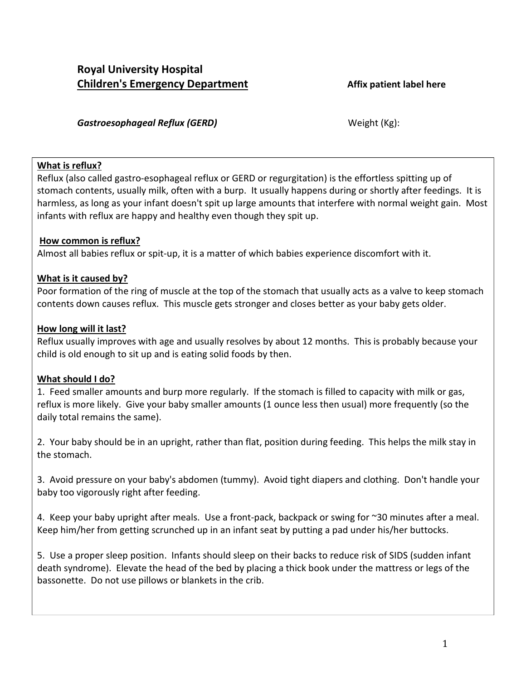### **Gastroesophageal Reflux (GERD)** Gastroesophageal Reflux (GERD)

## **What is reflux?**

Reflux (also called gastro-esophageal reflux or GERD or regurgitation) is the effortless spitting up of stomach contents, usually milk, often with a burp. It usually happens during or shortly after feedings. It is harmless, as long as your infant doesn't spit up large amounts that interfere with normal weight gain. Most infants with reflux are happy and healthy even though they spit up.

## **How common is reflux?**

Almost all babies reflux or spit-up, it is a matter of which babies experience discomfort with it.

## **What is it caused by?**

Poor formation of the ring of muscle at the top of the stomach that usually acts as a valve to keep stomach contents down causes reflux. This muscle gets stronger and closes better as your baby gets older.

## **How long will it last?**

Reflux usually improves with age and usually resolves by about 12 months. This is probably because your child is old enough to sit up and is eating solid foods by then.

## **What should I do?**

1. Feed smaller amounts and burp more regularly. If the stomach is filled to capacity with milk or gas, reflux is more likely. Give your baby smaller amounts (1 ounce less then usual) more frequently (so the daily total remains the same).

2. Your baby should be in an upright, rather than flat, position during feeding. This helps the milk stay in the stomach.

3. Avoid pressure on your baby's abdomen (tummy). Avoid tight diapers and clothing. Don't handle your baby too vigorously right after feeding.

4. Keep your baby upright after meals. Use a front-pack, backpack or swing for ~30 minutes after a meal. Keep him/her from getting scrunched up in an infant seat by putting a pad under his/her buttocks.

5. Use a proper sleep position. Infants should sleep on their backs to reduce risk of SIDS (sudden infant death syndrome). Elevate the head of the bed by placing a thick book under the mattress or legs of the bassonette. Do not use pillows or blankets in the crib.